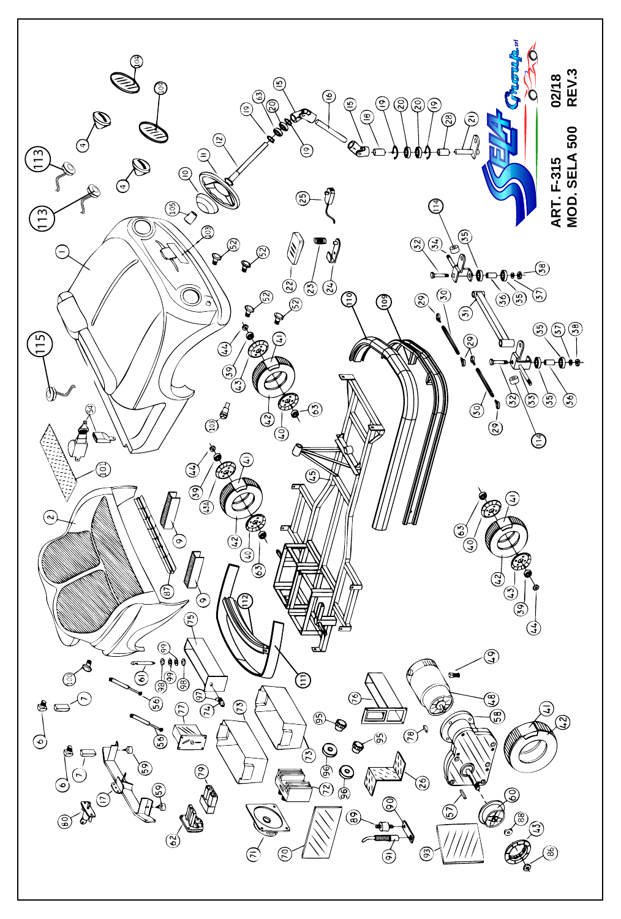